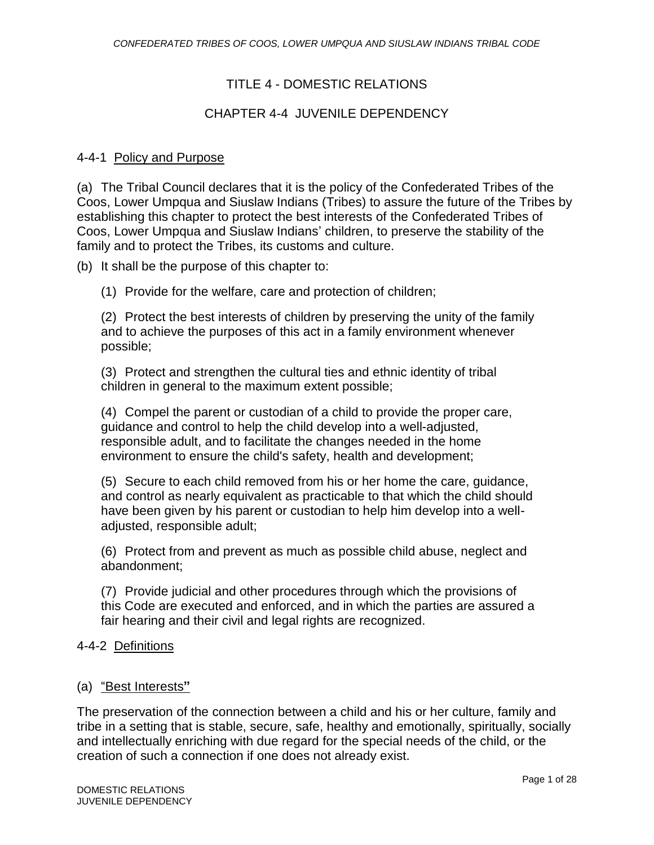# TITLE 4 - DOMESTIC RELATIONS

# CHAPTER 4-4 JUVENILE DEPENDENCY

## 4-4-1 Policy and Purpose

(a) The Tribal Council declares that it is the policy of the Confederated Tribes of the Coos, Lower Umpqua and Siuslaw Indians (Tribes) to assure the future of the Tribes by establishing this chapter to protect the best interests of the Confederated Tribes of Coos, Lower Umpqua and Siuslaw Indians' children, to preserve the stability of the family and to protect the Tribes, its customs and culture.

(b) It shall be the purpose of this chapter to:

(1) Provide for the welfare, care and protection of children;

(2) Protect the best interests of children by preserving the unity of the family and to achieve the purposes of this act in a family environment whenever possible;

(3) Protect and strengthen the cultural ties and ethnic identity of tribal children in general to the maximum extent possible;

(4) Compel the parent or custodian of a child to provide the proper care, guidance and control to help the child develop into a well-adjusted, responsible adult, and to facilitate the changes needed in the home environment to ensure the child's safety, health and development;

(5) Secure to each child removed from his or her home the care, guidance, and control as nearly equivalent as practicable to that which the child should have been given by his parent or custodian to help him develop into a welladjusted, responsible adult;

(6) Protect from and prevent as much as possible child abuse, neglect and abandonment;

(7) Provide judicial and other procedures through which the provisions of this Code are executed and enforced, and in which the parties are assured a fair hearing and their civil and legal rights are recognized.

## 4-4-2 Definitions

## (a) "Best Interests**"**

The preservation of the connection between a child and his or her culture, family and tribe in a setting that is stable, secure, safe, healthy and emotionally, spiritually, socially and intellectually enriching with due regard for the special needs of the child, or the creation of such a connection if one does not already exist.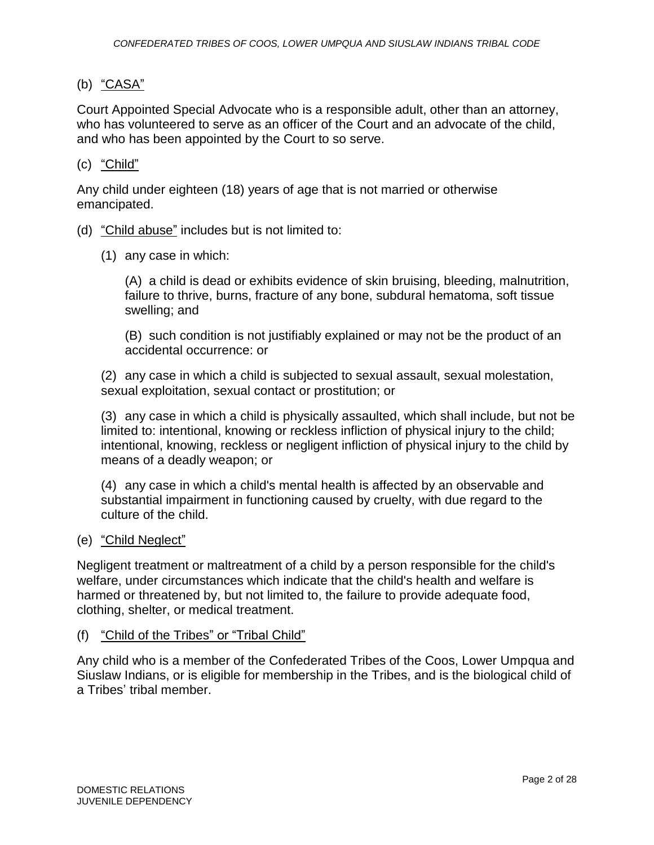# (b) "CASA"

Court Appointed Special Advocate who is a responsible adult, other than an attorney, who has volunteered to serve as an officer of the Court and an advocate of the child, and who has been appointed by the Court to so serve.

(c) "Child"

Any child under eighteen (18) years of age that is not married or otherwise emancipated.

- (d) "Child abuse" includes but is not limited to:
	- (1) any case in which:

(A) a child is dead or exhibits evidence of skin bruising, bleeding, malnutrition, failure to thrive, burns, fracture of any bone, subdural hematoma, soft tissue swelling; and

(B) such condition is not justifiably explained or may not be the product of an accidental occurrence: or

(2) any case in which a child is subjected to sexual assault, sexual molestation, sexual exploitation, sexual contact or prostitution; or

(3) any case in which a child is physically assaulted, which shall include, but not be limited to: intentional, knowing or reckless infliction of physical injury to the child; intentional, knowing, reckless or negligent infliction of physical injury to the child by means of a deadly weapon; or

(4) any case in which a child's mental health is affected by an observable and substantial impairment in functioning caused by cruelty, with due regard to the culture of the child.

## (e) "Child Neglect"

Negligent treatment or maltreatment of a child by a person responsible for the child's welfare, under circumstances which indicate that the child's health and welfare is harmed or threatened by, but not limited to, the failure to provide adequate food, clothing, shelter, or medical treatment.

## (f) "Child of the Tribes" or "Tribal Child"

Any child who is a member of the Confederated Tribes of the Coos, Lower Umpqua and Siuslaw Indians, or is eligible for membership in the Tribes, and is the biological child of a Tribes' tribal member.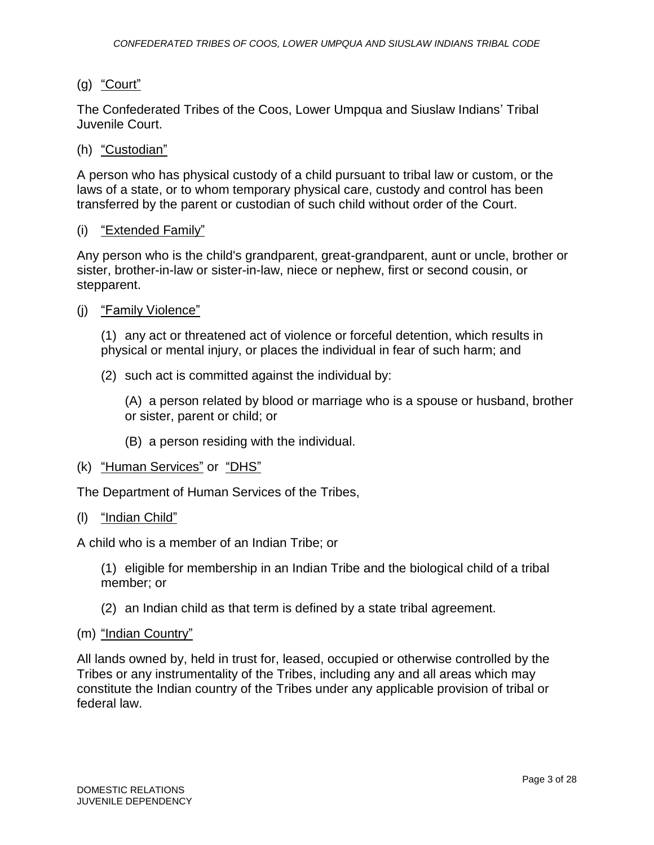# (g) "Court"

The Confederated Tribes of the Coos, Lower Umpqua and Siuslaw Indians' Tribal Juvenile Court.

## (h) "Custodian"

A person who has physical custody of a child pursuant to tribal law or custom, or the laws of a state, or to whom temporary physical care, custody and control has been transferred by the parent or custodian of such child without order of the Court.

## (i) "Extended Family"

Any person who is the child's grandparent, great-grandparent, aunt or uncle, brother or sister, brother-in-law or sister-in-law, niece or nephew, first or second cousin, or stepparent.

(j) "Family Violence"

(1) any act or threatened act of violence or forceful detention, which results in physical or mental injury, or places the individual in fear of such harm; and

(2) such act is committed against the individual by:

(A) a person related by blood or marriage who is a spouse or husband, brother or sister, parent or child; or

- (B) a person residing with the individual.
- (k) "Human Services" or "DHS"

The Department of Human Services of the Tribes,

(l) "Indian Child"

A child who is a member of an Indian Tribe; or

(1) eligible for membership in an Indian Tribe and the biological child of a tribal member; or

- (2) an Indian child as that term is defined by a state tribal agreement.
- (m) "Indian Country"

All lands owned by, held in trust for, leased, occupied or otherwise controlled by the Tribes or any instrumentality of the Tribes, including any and all areas which may constitute the Indian country of the Tribes under any applicable provision of tribal or federal law.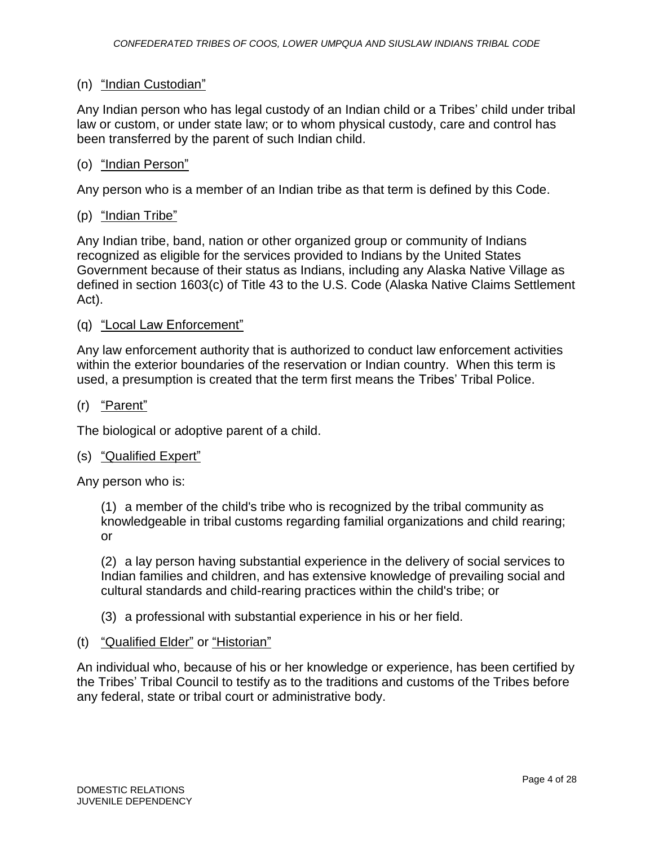## (n) "Indian Custodian"

Any Indian person who has legal custody of an Indian child or a Tribes' child under tribal law or custom, or under state law; or to whom physical custody, care and control has been transferred by the parent of such Indian child.

#### (o) "Indian Person"

Any person who is a member of an Indian tribe as that term is defined by this Code.

## (p) "Indian Tribe"

Any Indian tribe, band, nation or other organized group or community of Indians recognized as eligible for the services provided to Indians by the United States Government because of their status as Indians, including any Alaska Native Village as defined in section 1603(c) of Title 43 to the U.S. Code (Alaska Native Claims Settlement Act).

#### (q) "Local Law Enforcement"

Any law enforcement authority that is authorized to conduct law enforcement activities within the exterior boundaries of the reservation or Indian country. When this term is used, a presumption is created that the term first means the Tribes' Tribal Police.

#### (r) "Parent"

The biological or adoptive parent of a child.

#### (s) "Qualified Expert"

Any person who is:

(1) a member of the child's tribe who is recognized by the tribal community as knowledgeable in tribal customs regarding familial organizations and child rearing; or

(2) a lay person having substantial experience in the delivery of social services to Indian families and children, and has extensive knowledge of prevailing social and cultural standards and child-rearing practices within the child's tribe; or

(3) a professional with substantial experience in his or her field.

## (t) "Qualified Elder" or "Historian"

An individual who, because of his or her knowledge or experience, has been certified by the Tribes' Tribal Council to testify as to the traditions and customs of the Tribes before any federal, state or tribal court or administrative body.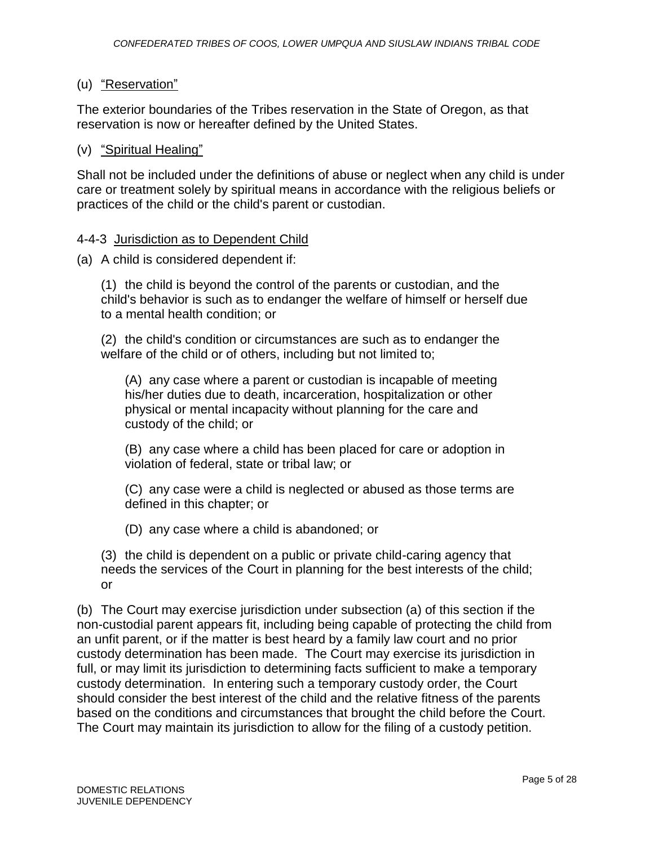# (u) "Reservation"

The exterior boundaries of the Tribes reservation in the State of Oregon, as that reservation is now or hereafter defined by the United States.

## (v) "Spiritual Healing"

Shall not be included under the definitions of abuse or neglect when any child is under care or treatment solely by spiritual means in accordance with the religious beliefs or practices of the child or the child's parent or custodian.

## 4-4-3 Jurisdiction as to Dependent Child

(a) A child is considered dependent if:

(1) the child is beyond the control of the parents or custodian, and the child's behavior is such as to endanger the welfare of himself or herself due to a mental health condition; or

(2) the child's condition or circumstances are such as to endanger the welfare of the child or of others, including but not limited to;

(A) any case where a parent or custodian is incapable of meeting his/her duties due to death, incarceration, hospitalization or other physical or mental incapacity without planning for the care and custody of the child; or

(B) any case where a child has been placed for care or adoption in violation of federal, state or tribal law; or

(C) any case were a child is neglected or abused as those terms are defined in this chapter; or

(D) any case where a child is abandoned; or

(3) the child is dependent on a public or private child-caring agency that needs the services of the Court in planning for the best interests of the child; or

(b) The Court may exercise jurisdiction under subsection (a) of this section if the non-custodial parent appears fit, including being capable of protecting the child from an unfit parent, or if the matter is best heard by a family law court and no prior custody determination has been made. The Court may exercise its jurisdiction in full, or may limit its jurisdiction to determining facts sufficient to make a temporary custody determination. In entering such a temporary custody order, the Court should consider the best interest of the child and the relative fitness of the parents based on the conditions and circumstances that brought the child before the Court. The Court may maintain its jurisdiction to allow for the filing of a custody petition.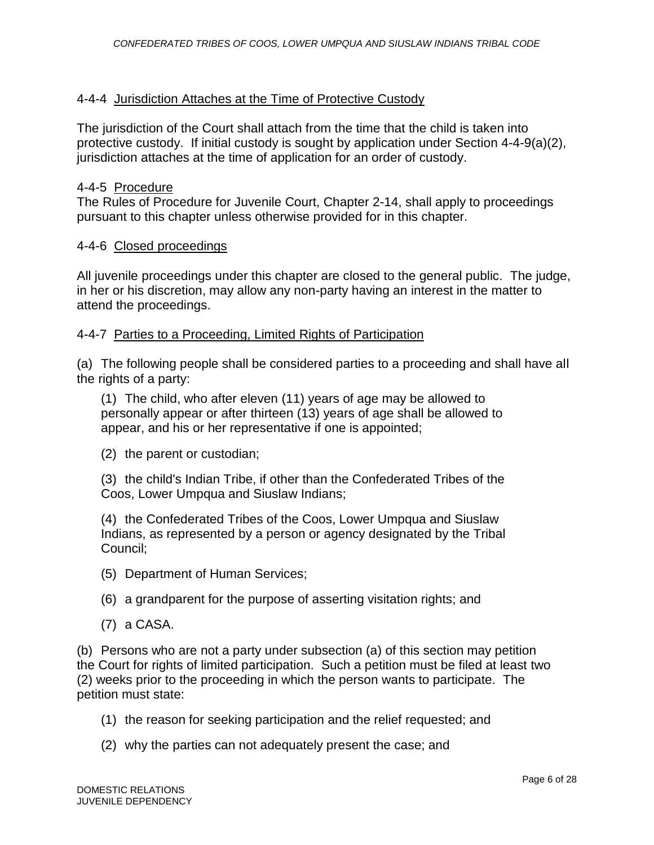## 4-4-4 Jurisdiction Attaches at the Time of Protective Custody

The jurisdiction of the Court shall attach from the time that the child is taken into protective custody. If initial custody is sought by application under Section 4-4-9(a)(2), jurisdiction attaches at the time of application for an order of custody.

#### 4-4-5 Procedure

The Rules of Procedure for Juvenile Court, Chapter 2-14, shall apply to proceedings pursuant to this chapter unless otherwise provided for in this chapter.

#### 4-4-6 Closed proceedings

All juvenile proceedings under this chapter are closed to the general public. The judge, in her or his discretion, may allow any non-party having an interest in the matter to attend the proceedings.

## 4-4-7 Parties to a Proceeding, Limited Rights of Participation

(a) The following people shall be considered parties to a proceeding and shall have all the rights of a party:

(1) The child, who after eleven (11) years of age may be allowed to personally appear or after thirteen (13) years of age shall be allowed to appear, and his or her representative if one is appointed;

(2) the parent or custodian;

(3) the child's Indian Tribe, if other than the Confederated Tribes of the Coos, Lower Umpqua and Siuslaw Indians;

(4) the Confederated Tribes of the Coos, Lower Umpqua and Siuslaw Indians, as represented by a person or agency designated by the Tribal Council;

- (5) Department of Human Services;
- (6) a grandparent for the purpose of asserting visitation rights; and
- (7) a CASA.

(b) Persons who are not a party under subsection (a) of this section may petition the Court for rights of limited participation. Such a petition must be filed at least two (2) weeks prior to the proceeding in which the person wants to participate. The petition must state:

- (1) the reason for seeking participation and the relief requested; and
- (2) why the parties can not adequately present the case; and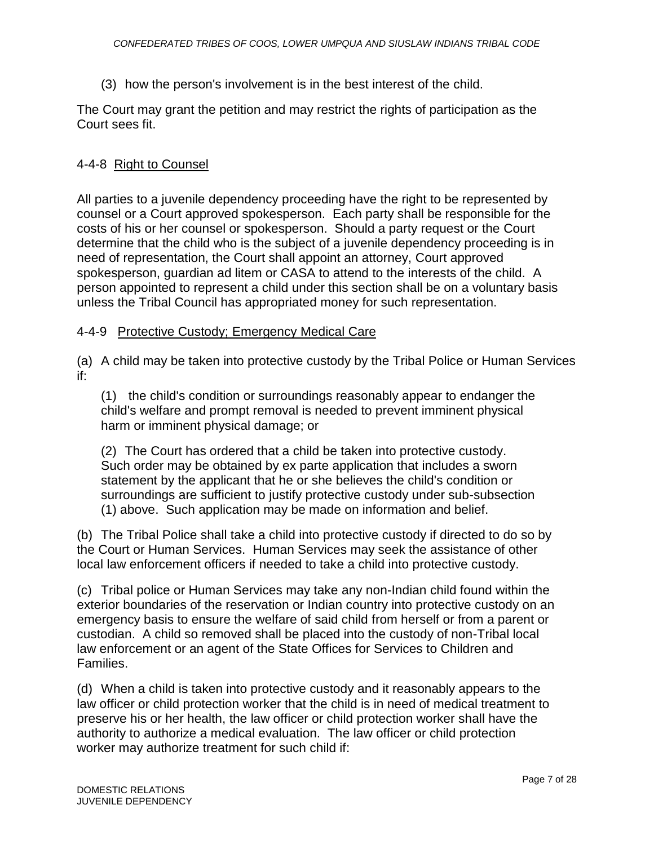(3) how the person's involvement is in the best interest of the child.

The Court may grant the petition and may restrict the rights of participation as the Court sees fit.

# 4-4-8 Right to Counsel

All parties to a juvenile dependency proceeding have the right to be represented by counsel or a Court approved spokesperson. Each party shall be responsible for the costs of his or her counsel or spokesperson. Should a party request or the Court determine that the child who is the subject of a juvenile dependency proceeding is in need of representation, the Court shall appoint an attorney, Court approved spokesperson, guardian ad litem or CASA to attend to the interests of the child. A person appointed to represent a child under this section shall be on a voluntary basis unless the Tribal Council has appropriated money for such representation.

# 4-4-9 Protective Custody; Emergency Medical Care

(a) A child may be taken into protective custody by the Tribal Police or Human Services if:

(1) the child's condition or surroundings reasonably appear to endanger the child's welfare and prompt removal is needed to prevent imminent physical harm or imminent physical damage; or

(2) The Court has ordered that a child be taken into protective custody. Such order may be obtained by ex parte application that includes a sworn statement by the applicant that he or she believes the child's condition or surroundings are sufficient to justify protective custody under sub-subsection (1) above. Such application may be made on information and belief.

(b) The Tribal Police shall take a child into protective custody if directed to do so by the Court or Human Services. Human Services may seek the assistance of other local law enforcement officers if needed to take a child into protective custody.

(c) Tribal police or Human Services may take any non-Indian child found within the exterior boundaries of the reservation or Indian country into protective custody on an emergency basis to ensure the welfare of said child from herself or from a parent or custodian. A child so removed shall be placed into the custody of non-Tribal local law enforcement or an agent of the State Offices for Services to Children and Families.

(d) When a child is taken into protective custody and it reasonably appears to the law officer or child protection worker that the child is in need of medical treatment to preserve his or her health, the law officer or child protection worker shall have the authority to authorize a medical evaluation. The law officer or child protection worker may authorize treatment for such child if: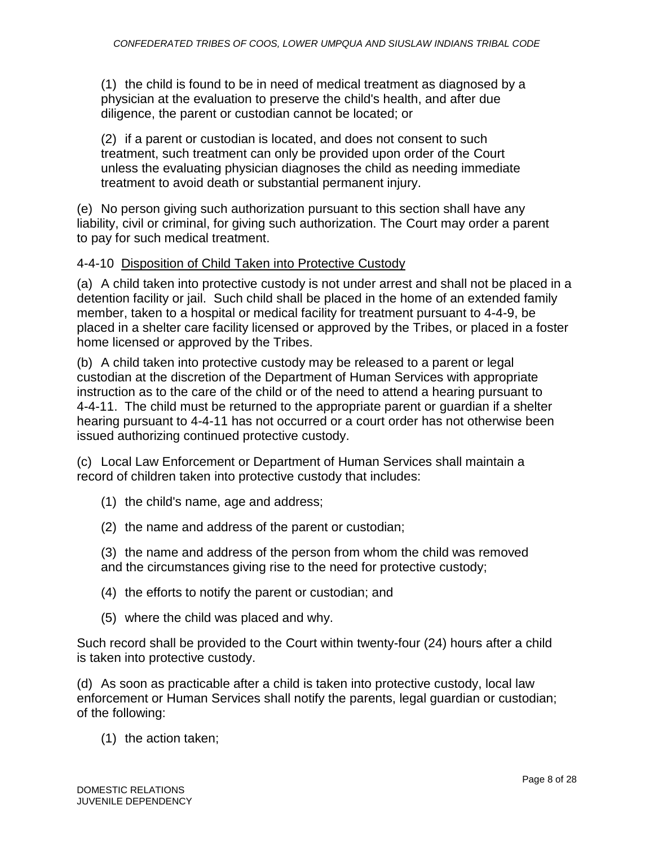(1) the child is found to be in need of medical treatment as diagnosed by a physician at the evaluation to preserve the child's health, and after due diligence, the parent or custodian cannot be located; or

(2) if a parent or custodian is located, and does not consent to such treatment, such treatment can only be provided upon order of the Court unless the evaluating physician diagnoses the child as needing immediate treatment to avoid death or substantial permanent injury.

(e) No person giving such authorization pursuant to this section shall have any liability, civil or criminal, for giving such authorization. The Court may order a parent to pay for such medical treatment.

## 4-4-10 Disposition of Child Taken into Protective Custody

(a) A child taken into protective custody is not under arrest and shall not be placed in a detention facility or jail. Such child shall be placed in the home of an extended family member, taken to a hospital or medical facility for treatment pursuant to 4-4-9, be placed in a shelter care facility licensed or approved by the Tribes, or placed in a foster home licensed or approved by the Tribes.

(b) A child taken into protective custody may be released to a parent or legal custodian at the discretion of the Department of Human Services with appropriate instruction as to the care of the child or of the need to attend a hearing pursuant to 4-4-11. The child must be returned to the appropriate parent or guardian if a shelter hearing pursuant to 4-4-11 has not occurred or a court order has not otherwise been issued authorizing continued protective custody.

(c) Local Law Enforcement or Department of Human Services shall maintain a record of children taken into protective custody that includes:

- (1) the child's name, age and address;
- (2) the name and address of the parent or custodian;

(3) the name and address of the person from whom the child was removed and the circumstances giving rise to the need for protective custody;

- (4) the efforts to notify the parent or custodian; and
- (5) where the child was placed and why.

Such record shall be provided to the Court within twenty-four (24) hours after a child is taken into protective custody.

(d) As soon as practicable after a child is taken into protective custody, local law enforcement or Human Services shall notify the parents, legal guardian or custodian; of the following:

(1) the action taken;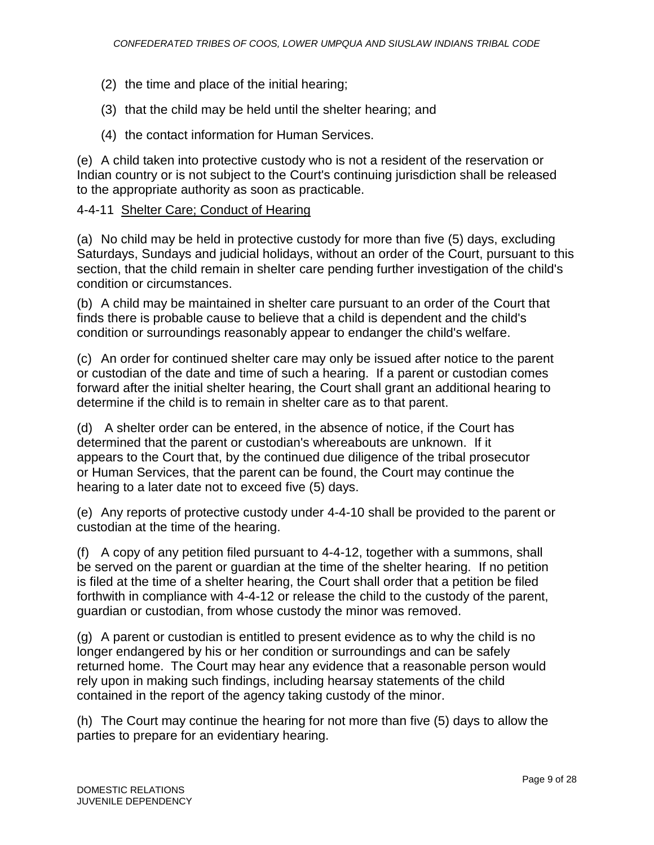- (2) the time and place of the initial hearing;
- (3) that the child may be held until the shelter hearing; and
- (4) the contact information for Human Services.

(e) A child taken into protective custody who is not a resident of the reservation or Indian country or is not subject to the Court's continuing jurisdiction shall be released to the appropriate authority as soon as practicable.

# 4-4-11 Shelter Care; Conduct of Hearing

(a) No child may be held in protective custody for more than five (5) days, excluding Saturdays, Sundays and judicial holidays, without an order of the Court, pursuant to this section, that the child remain in shelter care pending further investigation of the child's condition or circumstances.

(b) A child may be maintained in shelter care pursuant to an order of the Court that finds there is probable cause to believe that a child is dependent and the child's condition or surroundings reasonably appear to endanger the child's welfare.

(c) An order for continued shelter care may only be issued after notice to the parent or custodian of the date and time of such a hearing. If a parent or custodian comes forward after the initial shelter hearing, the Court shall grant an additional hearing to determine if the child is to remain in shelter care as to that parent.

(d) A shelter order can be entered, in the absence of notice, if the Court has determined that the parent or custodian's whereabouts are unknown. If it appears to the Court that, by the continued due diligence of the tribal prosecutor or Human Services, that the parent can be found, the Court may continue the hearing to a later date not to exceed five (5) days.

(e) Any reports of protective custody under 4-4-10 shall be provided to the parent or custodian at the time of the hearing.

(f) A copy of any petition filed pursuant to 4-4-12, together with a summons, shall be served on the parent or guardian at the time of the shelter hearing. If no petition is filed at the time of a shelter hearing, the Court shall order that a petition be filed forthwith in compliance with 4-4-12 or release the child to the custody of the parent, guardian or custodian, from whose custody the minor was removed.

(g) A parent or custodian is entitled to present evidence as to why the child is no longer endangered by his or her condition or surroundings and can be safely returned home. The Court may hear any evidence that a reasonable person would rely upon in making such findings, including hearsay statements of the child contained in the report of the agency taking custody of the minor.

(h) The Court may continue the hearing for not more than five (5) days to allow the parties to prepare for an evidentiary hearing.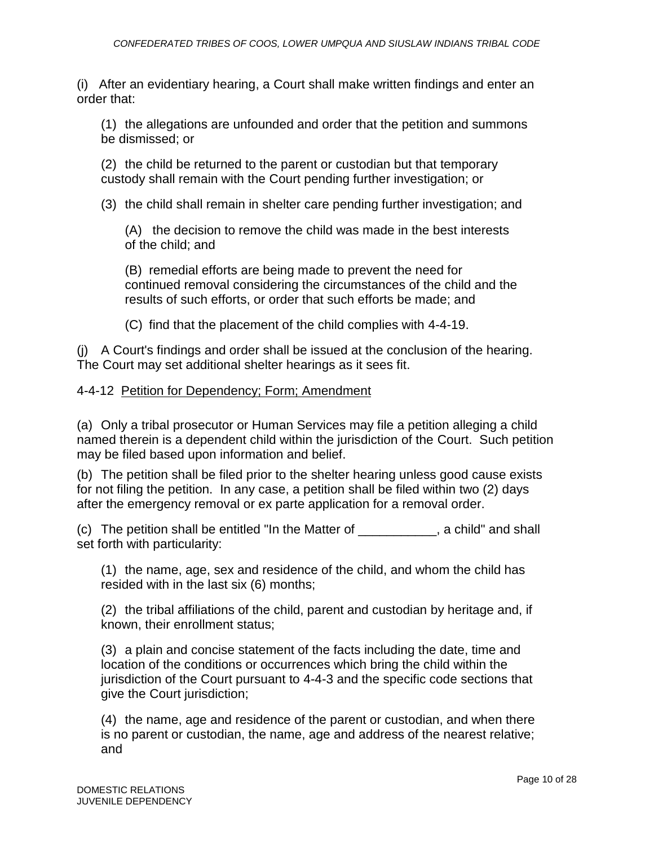(i) After an evidentiary hearing, a Court shall make written findings and enter an order that:

(1) the allegations are unfounded and order that the petition and summons be dismissed; or

(2) the child be returned to the parent or custodian but that temporary custody shall remain with the Court pending further investigation; or

(3) the child shall remain in shelter care pending further investigation; and

(A) the decision to remove the child was made in the best interests of the child; and

(B) remedial efforts are being made to prevent the need for continued removal considering the circumstances of the child and the results of such efforts, or order that such efforts be made; and

(C) find that the placement of the child complies with 4-4-19.

(j) A Court's findings and order shall be issued at the conclusion of the hearing. The Court may set additional shelter hearings as it sees fit.

# 4-4-12 Petition for Dependency; Form; Amendment

(a) Only a tribal prosecutor or Human Services may file a petition alleging a child named therein is a dependent child within the jurisdiction of the Court. Such petition may be filed based upon information and belief.

(b) The petition shall be filed prior to the shelter hearing unless good cause exists for not filing the petition. In any case, a petition shall be filed within two (2) days after the emergency removal or ex parte application for a removal order.

(c) The petition shall be entitled "In the Matter of \_\_\_\_\_\_\_\_\_\_\_, a child" and shall set forth with particularity:

(1) the name, age, sex and residence of the child, and whom the child has resided with in the last six (6) months;

(2) the tribal affiliations of the child, parent and custodian by heritage and, if known, their enrollment status;

(3) a plain and concise statement of the facts including the date, time and location of the conditions or occurrences which bring the child within the jurisdiction of the Court pursuant to 4-4-3 and the specific code sections that give the Court jurisdiction;

(4) the name, age and residence of the parent or custodian, and when there is no parent or custodian, the name, age and address of the nearest relative; and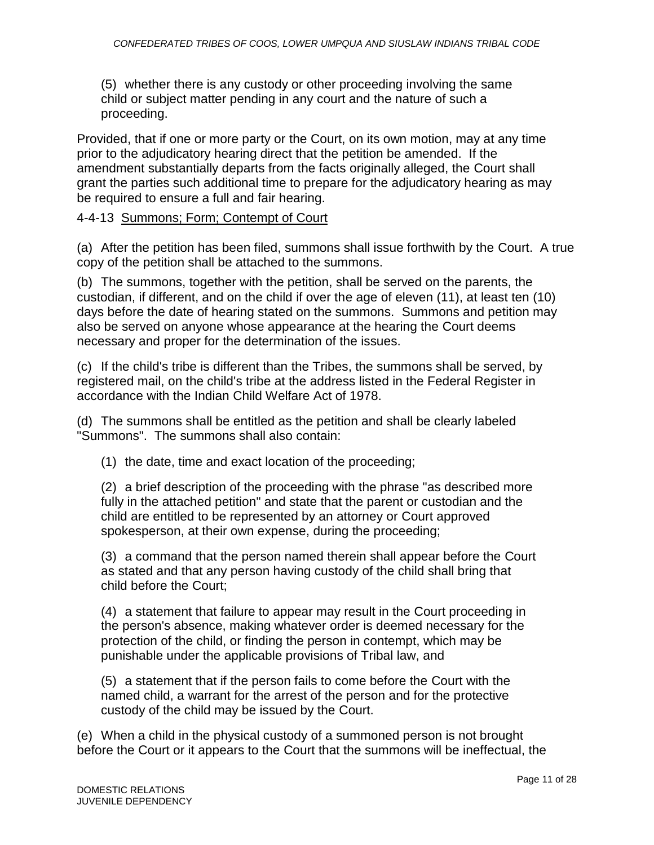(5) whether there is any custody or other proceeding involving the same child or subject matter pending in any court and the nature of such a proceeding.

Provided, that if one or more party or the Court, on its own motion, may at any time prior to the adjudicatory hearing direct that the petition be amended. If the amendment substantially departs from the facts originally alleged, the Court shall grant the parties such additional time to prepare for the adjudicatory hearing as may be required to ensure a full and fair hearing.

# 4-4-13 Summons; Form; Contempt of Court

(a) After the petition has been filed, summons shall issue forthwith by the Court. A true copy of the petition shall be attached to the summons.

(b) The summons, together with the petition, shall be served on the parents, the custodian, if different, and on the child if over the age of eleven (11), at least ten (10) days before the date of hearing stated on the summons. Summons and petition may also be served on anyone whose appearance at the hearing the Court deems necessary and proper for the determination of the issues.

(c) If the child's tribe is different than the Tribes, the summons shall be served, by registered mail, on the child's tribe at the address listed in the Federal Register in accordance with the Indian Child Welfare Act of 1978.

(d) The summons shall be entitled as the petition and shall be clearly labeled "Summons". The summons shall also contain:

(1) the date, time and exact location of the proceeding;

(2) a brief description of the proceeding with the phrase "as described more fully in the attached petition" and state that the parent or custodian and the child are entitled to be represented by an attorney or Court approved spokesperson, at their own expense, during the proceeding;

(3) a command that the person named therein shall appear before the Court as stated and that any person having custody of the child shall bring that child before the Court;

(4) a statement that failure to appear may result in the Court proceeding in the person's absence, making whatever order is deemed necessary for the protection of the child, or finding the person in contempt, which may be punishable under the applicable provisions of Tribal law, and

(5) a statement that if the person fails to come before the Court with the named child, a warrant for the arrest of the person and for the protective custody of the child may be issued by the Court.

(e) When a child in the physical custody of a summoned person is not brought before the Court or it appears to the Court that the summons will be ineffectual, the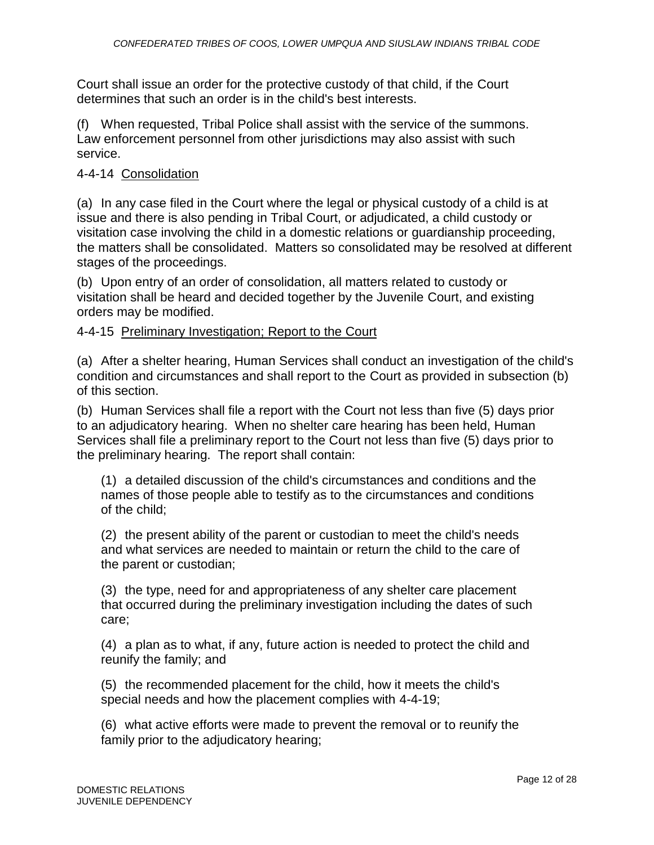Court shall issue an order for the protective custody of that child, if the Court determines that such an order is in the child's best interests.

(f) When requested, Tribal Police shall assist with the service of the summons. Law enforcement personnel from other jurisdictions may also assist with such service.

# 4-4-14 Consolidation

(a) In any case filed in the Court where the legal or physical custody of a child is at issue and there is also pending in Tribal Court, or adjudicated, a child custody or visitation case involving the child in a domestic relations or guardianship proceeding, the matters shall be consolidated. Matters so consolidated may be resolved at different stages of the proceedings.

(b) Upon entry of an order of consolidation, all matters related to custody or visitation shall be heard and decided together by the Juvenile Court, and existing orders may be modified.

## 4-4-15 Preliminary Investigation; Report to the Court

(a) After a shelter hearing, Human Services shall conduct an investigation of the child's condition and circumstances and shall report to the Court as provided in subsection (b) of this section.

(b) Human Services shall file a report with the Court not less than five (5) days prior to an adjudicatory hearing. When no shelter care hearing has been held, Human Services shall file a preliminary report to the Court not less than five (5) days prior to the preliminary hearing. The report shall contain:

(1) a detailed discussion of the child's circumstances and conditions and the names of those people able to testify as to the circumstances and conditions of the child;

(2) the present ability of the parent or custodian to meet the child's needs and what services are needed to maintain or return the child to the care of the parent or custodian;

(3) the type, need for and appropriateness of any shelter care placement that occurred during the preliminary investigation including the dates of such care;

(4) a plan as to what, if any, future action is needed to protect the child and reunify the family; and

(5) the recommended placement for the child, how it meets the child's special needs and how the placement complies with 4-4-19;

(6) what active efforts were made to prevent the removal or to reunify the family prior to the adjudicatory hearing;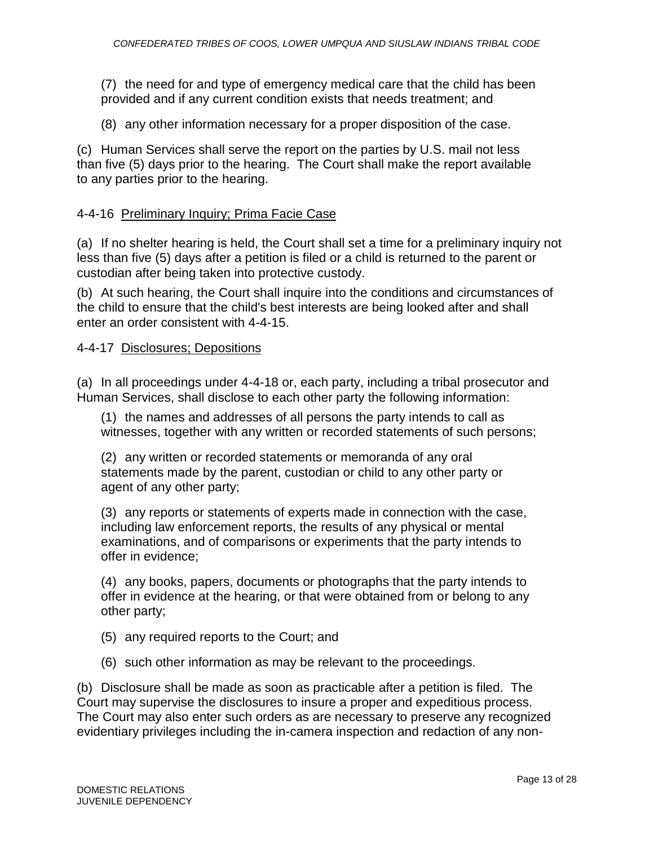(7) the need for and type of emergency medical care that the child has been provided and if any current condition exists that needs treatment; and

(8) any other information necessary for a proper disposition of the case.

(c) Human Services shall serve the report on the parties by U.S. mail not less than five (5) days prior to the hearing. The Court shall make the report available to any parties prior to the hearing.

## 4-4-16 Preliminary Inquiry; Prima Facie Case

(a) If no shelter hearing is held, the Court shall set a time for a preliminary inquiry not less than five (5) days after a petition is filed or a child is returned to the parent or custodian after being taken into protective custody.

(b) At such hearing, the Court shall inquire into the conditions and circumstances of the child to ensure that the child's best interests are being looked after and shall enter an order consistent with 4-4-15.

## 4-4-17 Disclosures; Depositions

(a) In all proceedings under 4-4-18 or, each party, including a tribal prosecutor and Human Services, shall disclose to each other party the following information:

(1) the names and addresses of all persons the party intends to call as witnesses, together with any written or recorded statements of such persons;

(2) any written or recorded statements or memoranda of any oral statements made by the parent, custodian or child to any other party or agent of any other party;

(3) any reports or statements of experts made in connection with the case, including law enforcement reports, the results of any physical or mental examinations, and of comparisons or experiments that the party intends to offer in evidence;

(4) any books, papers, documents or photographs that the party intends to offer in evidence at the hearing, or that were obtained from or belong to any other party;

- (5) any required reports to the Court; and
- (6) such other information as may be relevant to the proceedings.

(b) Disclosure shall be made as soon as practicable after a petition is filed. The Court may supervise the disclosures to insure a proper and expeditious process. The Court may also enter such orders as are necessary to preserve any recognized evidentiary privileges including the in-camera inspection and redaction of any non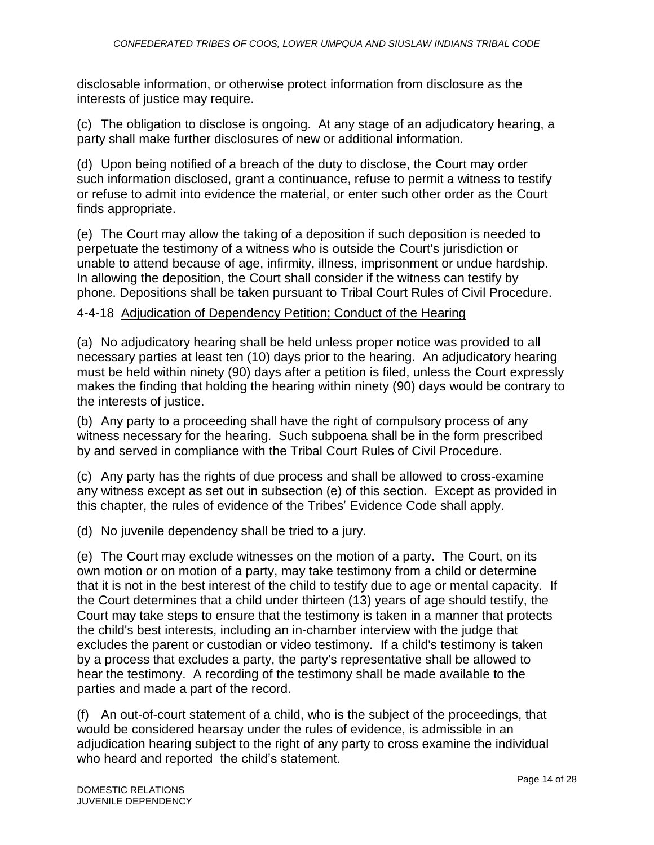disclosable information, or otherwise protect information from disclosure as the interests of justice may require.

(c) The obligation to disclose is ongoing. At any stage of an adjudicatory hearing, a party shall make further disclosures of new or additional information.

(d) Upon being notified of a breach of the duty to disclose, the Court may order such information disclosed, grant a continuance, refuse to permit a witness to testify or refuse to admit into evidence the material, or enter such other order as the Court finds appropriate.

(e) The Court may allow the taking of a deposition if such deposition is needed to perpetuate the testimony of a witness who is outside the Court's jurisdiction or unable to attend because of age, infirmity, illness, imprisonment or undue hardship. In allowing the deposition, the Court shall consider if the witness can testify by phone. Depositions shall be taken pursuant to Tribal Court Rules of Civil Procedure.

# 4-4-18 Adjudication of Dependency Petition; Conduct of the Hearing

(a) No adjudicatory hearing shall be held unless proper notice was provided to all necessary parties at least ten (10) days prior to the hearing. An adjudicatory hearing must be held within ninety (90) days after a petition is filed, unless the Court expressly makes the finding that holding the hearing within ninety (90) days would be contrary to the interests of justice.

(b) Any party to a proceeding shall have the right of compulsory process of any witness necessary for the hearing. Such subpoena shall be in the form prescribed by and served in compliance with the Tribal Court Rules of Civil Procedure.

(c) Any party has the rights of due process and shall be allowed to cross-examine any witness except as set out in subsection (e) of this section. Except as provided in this chapter, the rules of evidence of the Tribes' Evidence Code shall apply.

(d) No juvenile dependency shall be tried to a jury.

(e) The Court may exclude witnesses on the motion of a party. The Court, on its own motion or on motion of a party, may take testimony from a child or determine that it is not in the best interest of the child to testify due to age or mental capacity. If the Court determines that a child under thirteen (13) years of age should testify, the Court may take steps to ensure that the testimony is taken in a manner that protects the child's best interests, including an in-chamber interview with the judge that excludes the parent or custodian or video testimony. If a child's testimony is taken by a process that excludes a party, the party's representative shall be allowed to hear the testimony. A recording of the testimony shall be made available to the parties and made a part of the record.

(f) An out-of-court statement of a child, who is the subject of the proceedings, that would be considered hearsay under the rules of evidence, is admissible in an adjudication hearing subject to the right of any party to cross examine the individual who heard and reported the child's statement.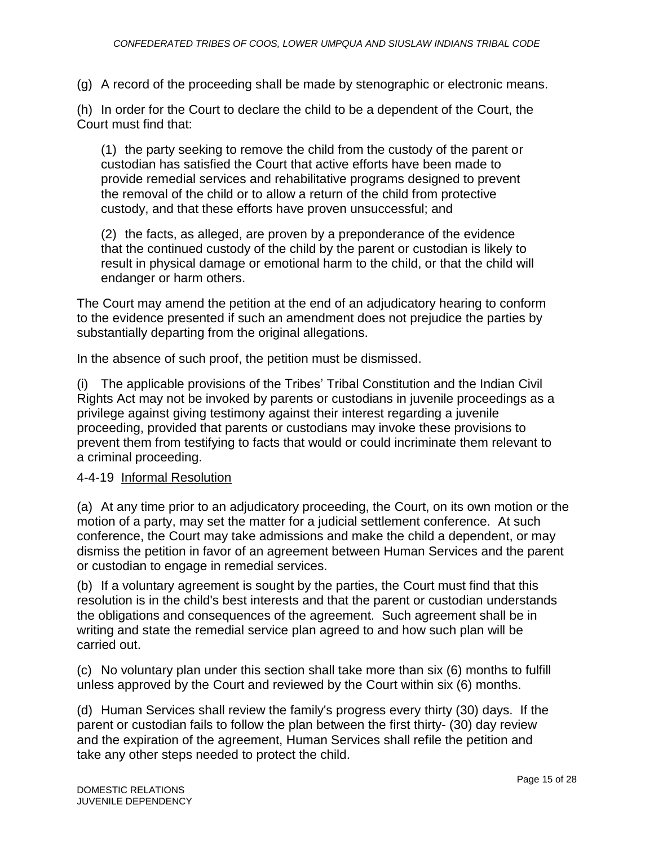(g) A record of the proceeding shall be made by stenographic or electronic means.

(h) In order for the Court to declare the child to be a dependent of the Court, the Court must find that:

(1) the party seeking to remove the child from the custody of the parent or custodian has satisfied the Court that active efforts have been made to provide remedial services and rehabilitative programs designed to prevent the removal of the child or to allow a return of the child from protective custody, and that these efforts have proven unsuccessful; and

(2) the facts, as alleged, are proven by a preponderance of the evidence that the continued custody of the child by the parent or custodian is likely to result in physical damage or emotional harm to the child, or that the child will endanger or harm others.

The Court may amend the petition at the end of an adjudicatory hearing to conform to the evidence presented if such an amendment does not prejudice the parties by substantially departing from the original allegations.

In the absence of such proof, the petition must be dismissed.

(i) The applicable provisions of the Tribes' Tribal Constitution and the Indian Civil Rights Act may not be invoked by parents or custodians in juvenile proceedings as a privilege against giving testimony against their interest regarding a juvenile proceeding, provided that parents or custodians may invoke these provisions to prevent them from testifying to facts that would or could incriminate them relevant to a criminal proceeding.

## 4-4-19 Informal Resolution

(a) At any time prior to an adjudicatory proceeding, the Court, on its own motion or the motion of a party, may set the matter for a judicial settlement conference. At such conference, the Court may take admissions and make the child a dependent, or may dismiss the petition in favor of an agreement between Human Services and the parent or custodian to engage in remedial services.

(b) If a voluntary agreement is sought by the parties, the Court must find that this resolution is in the child's best interests and that the parent or custodian understands the obligations and consequences of the agreement. Such agreement shall be in writing and state the remedial service plan agreed to and how such plan will be carried out.

(c) No voluntary plan under this section shall take more than six (6) months to fulfill unless approved by the Court and reviewed by the Court within six (6) months.

(d) Human Services shall review the family's progress every thirty (30) days. If the parent or custodian fails to follow the plan between the first thirty- (30) day review and the expiration of the agreement, Human Services shall refile the petition and take any other steps needed to protect the child.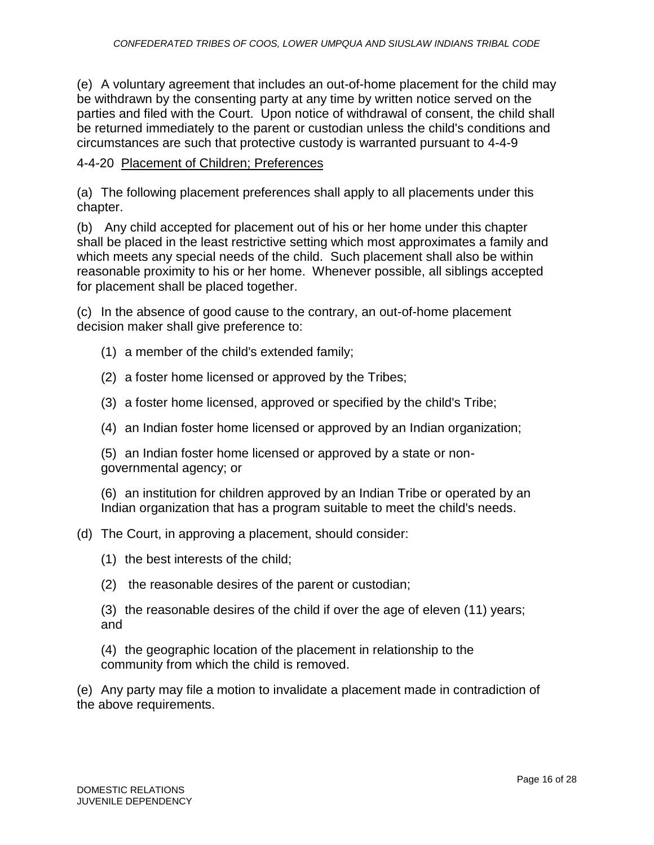(e) A voluntary agreement that includes an out-of-home placement for the child may be withdrawn by the consenting party at any time by written notice served on the parties and filed with the Court. Upon notice of withdrawal of consent, the child shall be returned immediately to the parent or custodian unless the child's conditions and circumstances are such that protective custody is warranted pursuant to 4-4-9

# 4-4-20 Placement of Children; Preferences

(a) The following placement preferences shall apply to all placements under this chapter.

(b) Any child accepted for placement out of his or her home under this chapter shall be placed in the least restrictive setting which most approximates a family and which meets any special needs of the child. Such placement shall also be within reasonable proximity to his or her home. Whenever possible, all siblings accepted for placement shall be placed together.

(c) In the absence of good cause to the contrary, an out-of-home placement decision maker shall give preference to:

- (1) a member of the child's extended family;
- (2) a foster home licensed or approved by the Tribes;
- (3) a foster home licensed, approved or specified by the child's Tribe;
- (4) an Indian foster home licensed or approved by an Indian organization;

(5) an Indian foster home licensed or approved by a state or nongovernmental agency; or

(6) an institution for children approved by an Indian Tribe or operated by an Indian organization that has a program suitable to meet the child's needs.

# (d) The Court, in approving a placement, should consider:

- (1) the best interests of the child;
- (2) the reasonable desires of the parent or custodian;

(3) the reasonable desires of the child if over the age of eleven (11) years; and

(4) the geographic location of the placement in relationship to the community from which the child is removed.

(e) Any party may file a motion to invalidate a placement made in contradiction of the above requirements.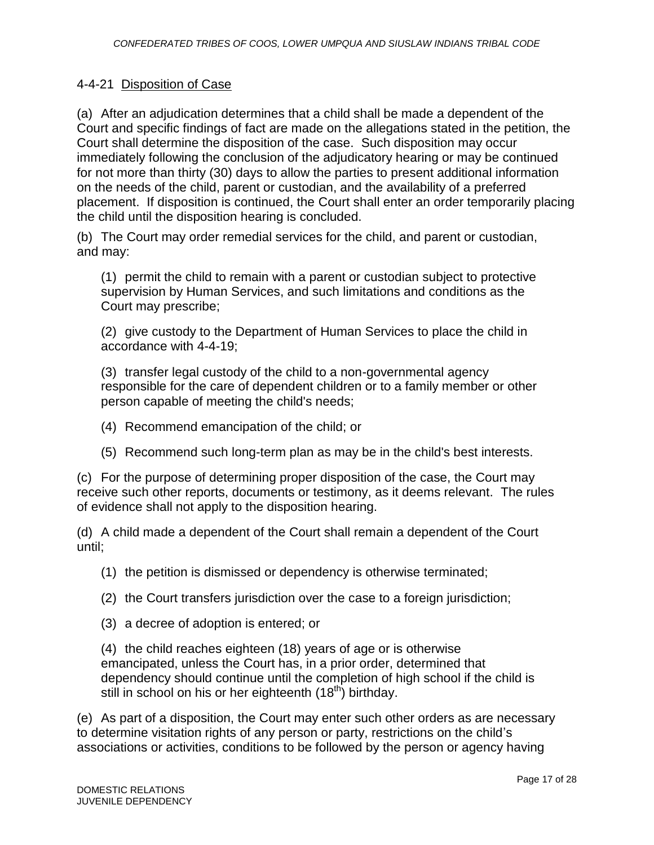# 4-4-21 Disposition of Case

(a) After an adjudication determines that a child shall be made a dependent of the Court and specific findings of fact are made on the allegations stated in the petition, the Court shall determine the disposition of the case. Such disposition may occur immediately following the conclusion of the adjudicatory hearing or may be continued for not more than thirty (30) days to allow the parties to present additional information on the needs of the child, parent or custodian, and the availability of a preferred placement. If disposition is continued, the Court shall enter an order temporarily placing the child until the disposition hearing is concluded.

(b) The Court may order remedial services for the child, and parent or custodian, and may:

(1) permit the child to remain with a parent or custodian subject to protective supervision by Human Services, and such limitations and conditions as the Court may prescribe;

(2) give custody to the Department of Human Services to place the child in accordance with 4-4-19;

(3) transfer legal custody of the child to a non-governmental agency responsible for the care of dependent children or to a family member or other person capable of meeting the child's needs;

- (4) Recommend emancipation of the child; or
- (5) Recommend such long-term plan as may be in the child's best interests.

(c) For the purpose of determining proper disposition of the case, the Court may receive such other reports, documents or testimony, as it deems relevant. The rules of evidence shall not apply to the disposition hearing.

(d) A child made a dependent of the Court shall remain a dependent of the Court until;

(1) the petition is dismissed or dependency is otherwise terminated;

- (2) the Court transfers jurisdiction over the case to a foreign jurisdiction;
- (3) a decree of adoption is entered; or

(4) the child reaches eighteen (18) years of age or is otherwise emancipated, unless the Court has, in a prior order, determined that dependency should continue until the completion of high school if the child is still in school on his or her eighteenth (18<sup>th</sup>) birthday.

(e) As part of a disposition, the Court may enter such other orders as are necessary to determine visitation rights of any person or party, restrictions on the child's associations or activities, conditions to be followed by the person or agency having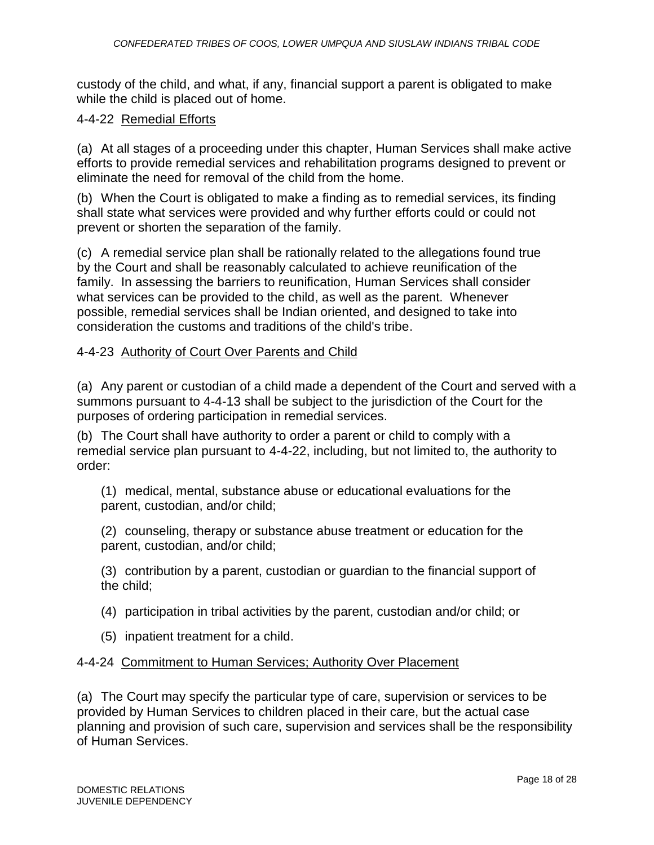custody of the child, and what, if any, financial support a parent is obligated to make while the child is placed out of home.

# 4-4-22 Remedial Efforts

(a) At all stages of a proceeding under this chapter, Human Services shall make active efforts to provide remedial services and rehabilitation programs designed to prevent or eliminate the need for removal of the child from the home.

(b) When the Court is obligated to make a finding as to remedial services, its finding shall state what services were provided and why further efforts could or could not prevent or shorten the separation of the family.

(c) A remedial service plan shall be rationally related to the allegations found true by the Court and shall be reasonably calculated to achieve reunification of the family. In assessing the barriers to reunification, Human Services shall consider what services can be provided to the child, as well as the parent. Whenever possible, remedial services shall be Indian oriented, and designed to take into consideration the customs and traditions of the child's tribe.

# 4-4-23 Authority of Court Over Parents and Child

(a) Any parent or custodian of a child made a dependent of the Court and served with a summons pursuant to 4-4-13 shall be subject to the jurisdiction of the Court for the purposes of ordering participation in remedial services.

(b) The Court shall have authority to order a parent or child to comply with a remedial service plan pursuant to 4-4-22, including, but not limited to, the authority to order:

(1) medical, mental, substance abuse or educational evaluations for the parent, custodian, and/or child;

(2) counseling, therapy or substance abuse treatment or education for the parent, custodian, and/or child;

(3) contribution by a parent, custodian or guardian to the financial support of the child;

- (4) participation in tribal activities by the parent, custodian and/or child; or
- (5) inpatient treatment for a child.

# 4-4-24 Commitment to Human Services; Authority Over Placement

(a) The Court may specify the particular type of care, supervision or services to be provided by Human Services to children placed in their care, but the actual case planning and provision of such care, supervision and services shall be the responsibility of Human Services.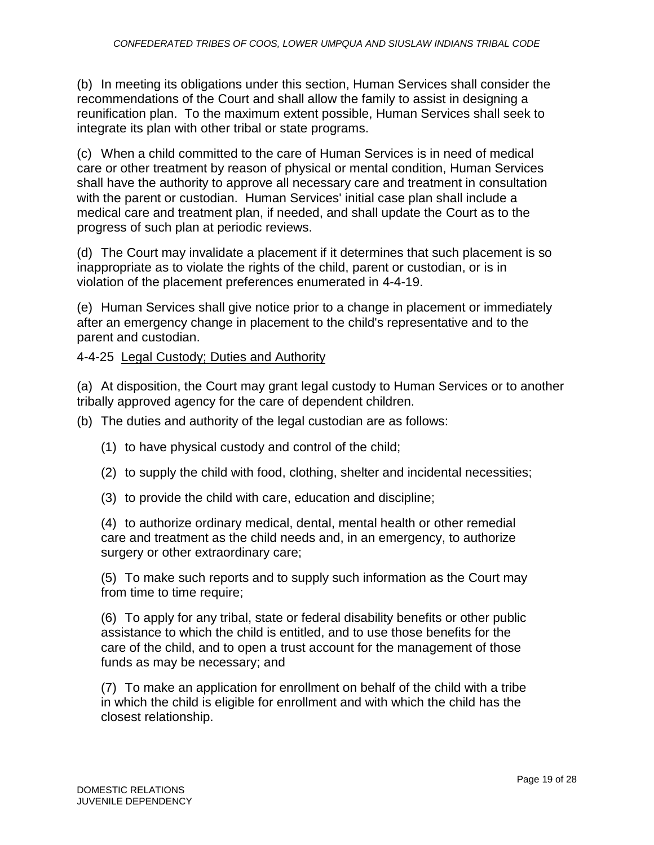(b) In meeting its obligations under this section, Human Services shall consider the recommendations of the Court and shall allow the family to assist in designing a reunification plan. To the maximum extent possible, Human Services shall seek to integrate its plan with other tribal or state programs.

(c) When a child committed to the care of Human Services is in need of medical care or other treatment by reason of physical or mental condition, Human Services shall have the authority to approve all necessary care and treatment in consultation with the parent or custodian. Human Services' initial case plan shall include a medical care and treatment plan, if needed, and shall update the Court as to the progress of such plan at periodic reviews.

(d) The Court may invalidate a placement if it determines that such placement is so inappropriate as to violate the rights of the child, parent or custodian, or is in violation of the placement preferences enumerated in 4-4-19.

(e) Human Services shall give notice prior to a change in placement or immediately after an emergency change in placement to the child's representative and to the parent and custodian.

# 4-4-25 Legal Custody; Duties and Authority

(a) At disposition, the Court may grant legal custody to Human Services or to another tribally approved agency for the care of dependent children.

- (b) The duties and authority of the legal custodian are as follows:
	- (1) to have physical custody and control of the child;
	- (2) to supply the child with food, clothing, shelter and incidental necessities;
	- (3) to provide the child with care, education and discipline;

(4) to authorize ordinary medical, dental, mental health or other remedial care and treatment as the child needs and, in an emergency, to authorize surgery or other extraordinary care;

(5) To make such reports and to supply such information as the Court may from time to time require;

(6) To apply for any tribal, state or federal disability benefits or other public assistance to which the child is entitled, and to use those benefits for the care of the child, and to open a trust account for the management of those funds as may be necessary; and

(7) To make an application for enrollment on behalf of the child with a tribe in which the child is eligible for enrollment and with which the child has the closest relationship.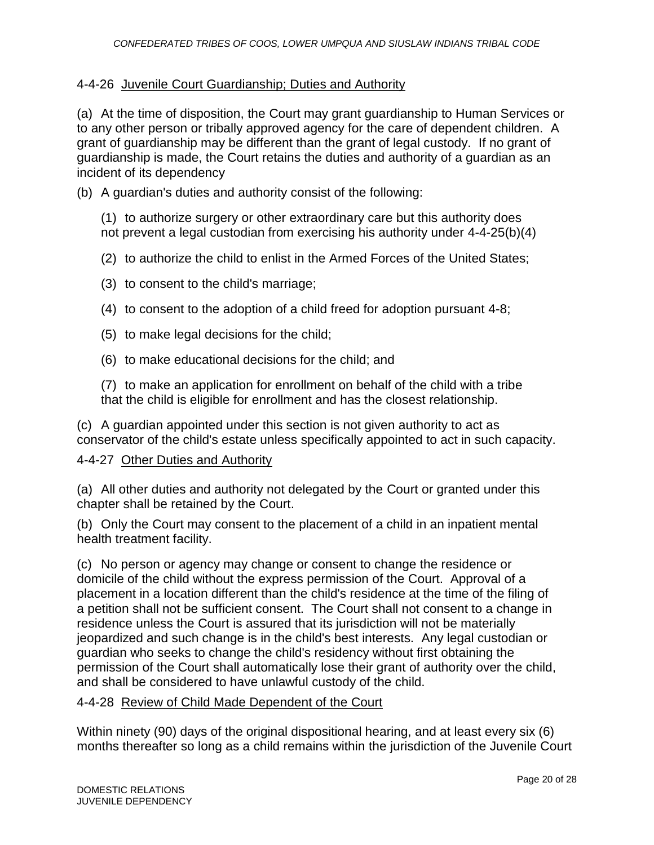# 4-4-26 Juvenile Court Guardianship; Duties and Authority

(a) At the time of disposition, the Court may grant guardianship to Human Services or to any other person or tribally approved agency for the care of dependent children. A grant of guardianship may be different than the grant of legal custody. If no grant of guardianship is made, the Court retains the duties and authority of a guardian as an incident of its dependency

(b) A guardian's duties and authority consist of the following:

(1) to authorize surgery or other extraordinary care but this authority does not prevent a legal custodian from exercising his authority under 4-4-25(b)(4)

- (2) to authorize the child to enlist in the Armed Forces of the United States;
- (3) to consent to the child's marriage;
- (4) to consent to the adoption of a child freed for adoption pursuant 4-8;
- (5) to make legal decisions for the child;
- (6) to make educational decisions for the child; and

(7) to make an application for enrollment on behalf of the child with a tribe that the child is eligible for enrollment and has the closest relationship.

(c) A guardian appointed under this section is not given authority to act as conservator of the child's estate unless specifically appointed to act in such capacity.

# 4-4-27 Other Duties and Authority

(a) All other duties and authority not delegated by the Court or granted under this chapter shall be retained by the Court.

(b) Only the Court may consent to the placement of a child in an inpatient mental health treatment facility.

(c) No person or agency may change or consent to change the residence or domicile of the child without the express permission of the Court. Approval of a placement in a location different than the child's residence at the time of the filing of a petition shall not be sufficient consent. The Court shall not consent to a change in residence unless the Court is assured that its jurisdiction will not be materially jeopardized and such change is in the child's best interests. Any legal custodian or guardian who seeks to change the child's residency without first obtaining the permission of the Court shall automatically lose their grant of authority over the child, and shall be considered to have unlawful custody of the child.

# 4-4-28 Review of Child Made Dependent of the Court

Within ninety (90) days of the original dispositional hearing, and at least every six (6) months thereafter so long as a child remains within the jurisdiction of the Juvenile Court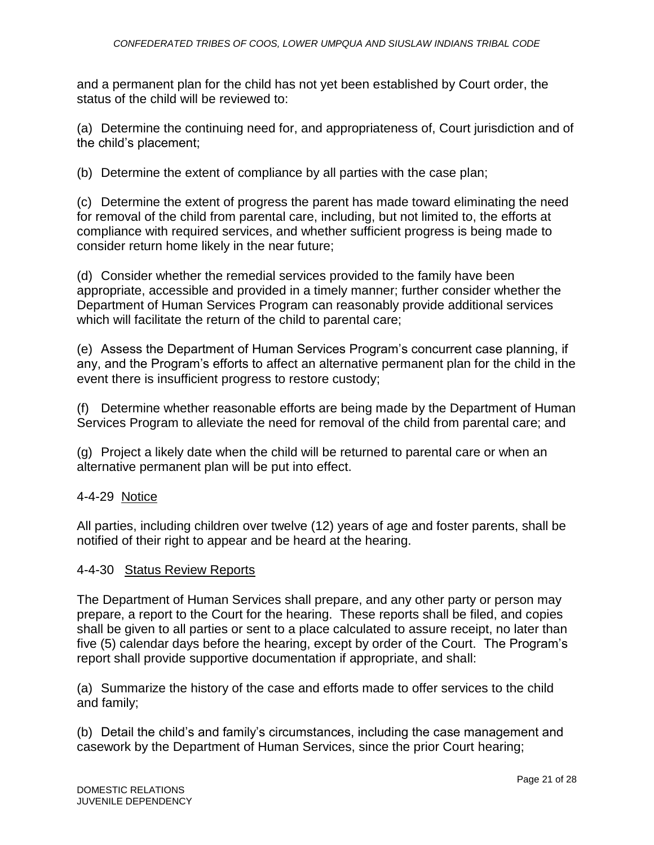and a permanent plan for the child has not yet been established by Court order, the status of the child will be reviewed to:

(a) Determine the continuing need for, and appropriateness of, Court jurisdiction and of the child's placement;

(b) Determine the extent of compliance by all parties with the case plan;

(c) Determine the extent of progress the parent has made toward eliminating the need for removal of the child from parental care, including, but not limited to, the efforts at compliance with required services, and whether sufficient progress is being made to consider return home likely in the near future;

(d) Consider whether the remedial services provided to the family have been appropriate, accessible and provided in a timely manner; further consider whether the Department of Human Services Program can reasonably provide additional services which will facilitate the return of the child to parental care;

(e) Assess the Department of Human Services Program's concurrent case planning, if any, and the Program's efforts to affect an alternative permanent plan for the child in the event there is insufficient progress to restore custody;

(f) Determine whether reasonable efforts are being made by the Department of Human Services Program to alleviate the need for removal of the child from parental care; and

(g) Project a likely date when the child will be returned to parental care or when an alternative permanent plan will be put into effect.

# 4-4-29 Notice

All parties, including children over twelve (12) years of age and foster parents, shall be notified of their right to appear and be heard at the hearing.

## 4-4-30 Status Review Reports

The Department of Human Services shall prepare, and any other party or person may prepare, a report to the Court for the hearing. These reports shall be filed, and copies shall be given to all parties or sent to a place calculated to assure receipt, no later than five (5) calendar days before the hearing, except by order of the Court. The Program's report shall provide supportive documentation if appropriate, and shall:

(a) Summarize the history of the case and efforts made to offer services to the child and family;

(b) Detail the child's and family's circumstances, including the case management and casework by the Department of Human Services, since the prior Court hearing;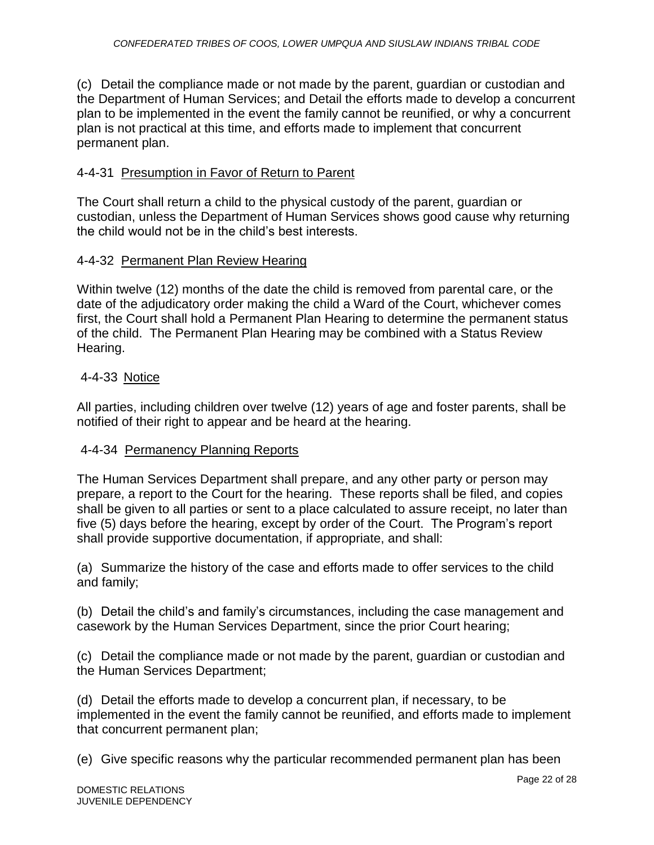(c) Detail the compliance made or not made by the parent, guardian or custodian and the Department of Human Services; and Detail the efforts made to develop a concurrent plan to be implemented in the event the family cannot be reunified, or why a concurrent plan is not practical at this time, and efforts made to implement that concurrent permanent plan.

# 4-4-31 Presumption in Favor of Return to Parent

The Court shall return a child to the physical custody of the parent, guardian or custodian, unless the Department of Human Services shows good cause why returning the child would not be in the child's best interests.

# 4-4-32 Permanent Plan Review Hearing

Within twelve (12) months of the date the child is removed from parental care, or the date of the adjudicatory order making the child a Ward of the Court, whichever comes first, the Court shall hold a Permanent Plan Hearing to determine the permanent status of the child. The Permanent Plan Hearing may be combined with a Status Review Hearing.

# 4-4-33 Notice

All parties, including children over twelve (12) years of age and foster parents, shall be notified of their right to appear and be heard at the hearing.

# 4-4-34 Permanency Planning Reports

The Human Services Department shall prepare, and any other party or person may prepare, a report to the Court for the hearing. These reports shall be filed, and copies shall be given to all parties or sent to a place calculated to assure receipt, no later than five (5) days before the hearing, except by order of the Court. The Program's report shall provide supportive documentation, if appropriate, and shall:

(a) Summarize the history of the case and efforts made to offer services to the child and family;

(b) Detail the child's and family's circumstances, including the case management and casework by the Human Services Department, since the prior Court hearing;

(c) Detail the compliance made or not made by the parent, guardian or custodian and the Human Services Department;

(d) Detail the efforts made to develop a concurrent plan, if necessary, to be implemented in the event the family cannot be reunified, and efforts made to implement that concurrent permanent plan;

(e) Give specific reasons why the particular recommended permanent plan has been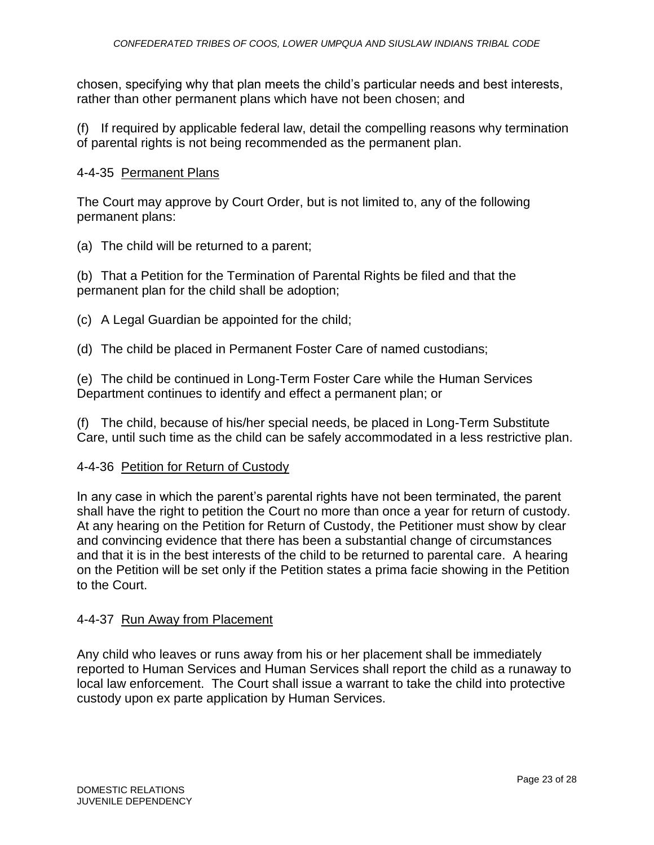chosen, specifying why that plan meets the child's particular needs and best interests, rather than other permanent plans which have not been chosen; and

(f) If required by applicable federal law, detail the compelling reasons why termination of parental rights is not being recommended as the permanent plan.

## 4-4-35 Permanent Plans

The Court may approve by Court Order, but is not limited to, any of the following permanent plans:

(a) The child will be returned to a parent;

(b) That a Petition for the Termination of Parental Rights be filed and that the permanent plan for the child shall be adoption;

(c) A Legal Guardian be appointed for the child;

(d) The child be placed in Permanent Foster Care of named custodians;

(e) The child be continued in Long-Term Foster Care while the Human Services Department continues to identify and effect a permanent plan; or

(f) The child, because of his/her special needs, be placed in Long-Term Substitute Care, until such time as the child can be safely accommodated in a less restrictive plan.

## 4-4-36 Petition for Return of Custody

In any case in which the parent's parental rights have not been terminated, the parent shall have the right to petition the Court no more than once a year for return of custody. At any hearing on the Petition for Return of Custody, the Petitioner must show by clear and convincing evidence that there has been a substantial change of circumstances and that it is in the best interests of the child to be returned to parental care. A hearing on the Petition will be set only if the Petition states a prima facie showing in the Petition to the Court.

## 4-4-37 Run Away from Placement

Any child who leaves or runs away from his or her placement shall be immediately reported to Human Services and Human Services shall report the child as a runaway to local law enforcement. The Court shall issue a warrant to take the child into protective custody upon ex parte application by Human Services.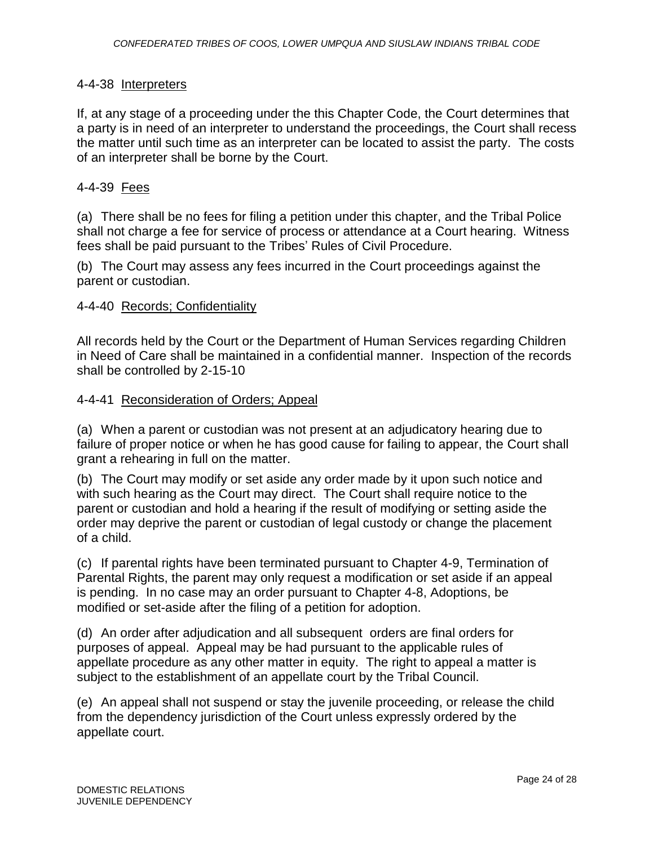# 4-4-38 Interpreters

If, at any stage of a proceeding under the this Chapter Code, the Court determines that a party is in need of an interpreter to understand the proceedings, the Court shall recess the matter until such time as an interpreter can be located to assist the party. The costs of an interpreter shall be borne by the Court.

## 4-4-39 Fees

(a) There shall be no fees for filing a petition under this chapter, and the Tribal Police shall not charge a fee for service of process or attendance at a Court hearing. Witness fees shall be paid pursuant to the Tribes' Rules of Civil Procedure.

(b) The Court may assess any fees incurred in the Court proceedings against the parent or custodian.

## 4-4-40 Records; Confidentiality

All records held by the Court or the Department of Human Services regarding Children in Need of Care shall be maintained in a confidential manner. Inspection of the records shall be controlled by 2-15-10

# 4-4-41 Reconsideration of Orders; Appeal

(a) When a parent or custodian was not present at an adjudicatory hearing due to failure of proper notice or when he has good cause for failing to appear, the Court shall grant a rehearing in full on the matter.

(b) The Court may modify or set aside any order made by it upon such notice and with such hearing as the Court may direct. The Court shall require notice to the parent or custodian and hold a hearing if the result of modifying or setting aside the order may deprive the parent or custodian of legal custody or change the placement of a child.

(c) If parental rights have been terminated pursuant to Chapter 4-9, Termination of Parental Rights, the parent may only request a modification or set aside if an appeal is pending. In no case may an order pursuant to Chapter 4-8, Adoptions, be modified or set-aside after the filing of a petition for adoption.

(d) An order after adjudication and all subsequent orders are final orders for purposes of appeal. Appeal may be had pursuant to the applicable rules of appellate procedure as any other matter in equity. The right to appeal a matter is subject to the establishment of an appellate court by the Tribal Council.

(e) An appeal shall not suspend or stay the juvenile proceeding, or release the child from the dependency jurisdiction of the Court unless expressly ordered by the appellate court.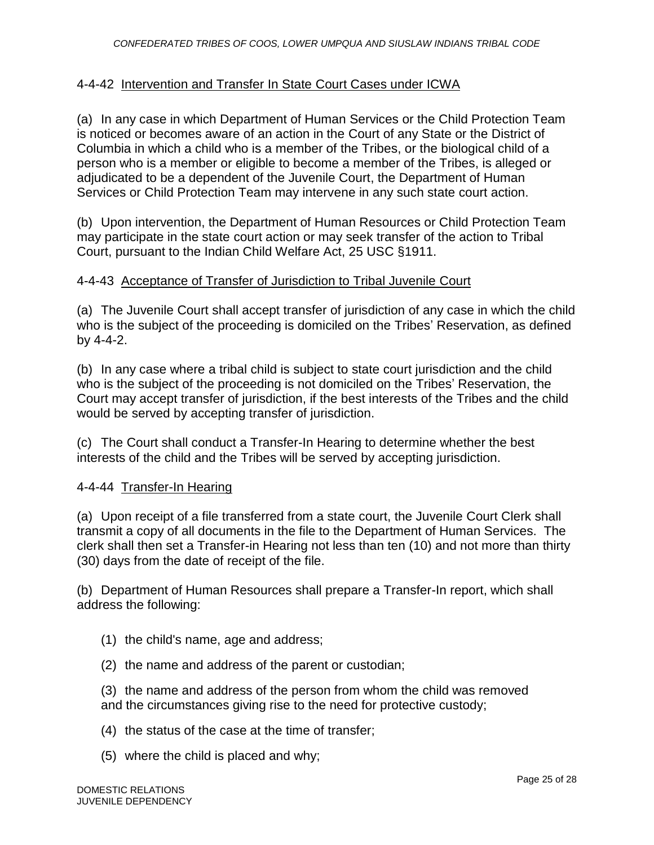# 4-4-42 Intervention and Transfer In State Court Cases under ICWA

(a) In any case in which Department of Human Services or the Child Protection Team is noticed or becomes aware of an action in the Court of any State or the District of Columbia in which a child who is a member of the Tribes, or the biological child of a person who is a member or eligible to become a member of the Tribes, is alleged or adjudicated to be a dependent of the Juvenile Court, the Department of Human Services or Child Protection Team may intervene in any such state court action.

(b) Upon intervention, the Department of Human Resources or Child Protection Team may participate in the state court action or may seek transfer of the action to Tribal Court, pursuant to the Indian Child Welfare Act, 25 USC §1911.

## 4-4-43 Acceptance of Transfer of Jurisdiction to Tribal Juvenile Court

(a) The Juvenile Court shall accept transfer of jurisdiction of any case in which the child who is the subject of the proceeding is domiciled on the Tribes' Reservation, as defined by 4-4-2.

(b) In any case where a tribal child is subject to state court jurisdiction and the child who is the subject of the proceeding is not domiciled on the Tribes' Reservation, the Court may accept transfer of jurisdiction, if the best interests of the Tribes and the child would be served by accepting transfer of jurisdiction.

(c) The Court shall conduct a Transfer-In Hearing to determine whether the best interests of the child and the Tribes will be served by accepting jurisdiction.

## 4-4-44 Transfer-In Hearing

(a) Upon receipt of a file transferred from a state court, the Juvenile Court Clerk shall transmit a copy of all documents in the file to the Department of Human Services. The clerk shall then set a Transfer-in Hearing not less than ten (10) and not more than thirty (30) days from the date of receipt of the file.

(b) Department of Human Resources shall prepare a Transfer-In report, which shall address the following:

- (1) the child's name, age and address;
- (2) the name and address of the parent or custodian;

(3) the name and address of the person from whom the child was removed and the circumstances giving rise to the need for protective custody;

- (4) the status of the case at the time of transfer;
- (5) where the child is placed and why;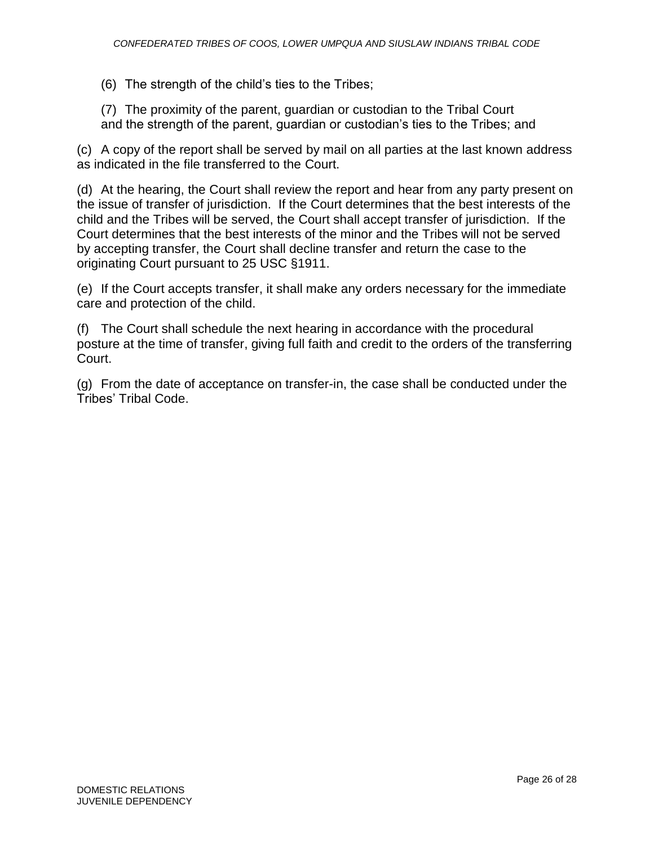(6) The strength of the child's ties to the Tribes;

(7) The proximity of the parent, guardian or custodian to the Tribal Court and the strength of the parent, guardian or custodian's ties to the Tribes; and

(c) A copy of the report shall be served by mail on all parties at the last known address as indicated in the file transferred to the Court.

(d) At the hearing, the Court shall review the report and hear from any party present on the issue of transfer of jurisdiction. If the Court determines that the best interests of the child and the Tribes will be served, the Court shall accept transfer of jurisdiction. If the Court determines that the best interests of the minor and the Tribes will not be served by accepting transfer, the Court shall decline transfer and return the case to the originating Court pursuant to 25 USC §1911.

(e) If the Court accepts transfer, it shall make any orders necessary for the immediate care and protection of the child.

(f) The Court shall schedule the next hearing in accordance with the procedural posture at the time of transfer, giving full faith and credit to the orders of the transferring Court.

(g) From the date of acceptance on transfer-in, the case shall be conducted under the Tribes' Tribal Code.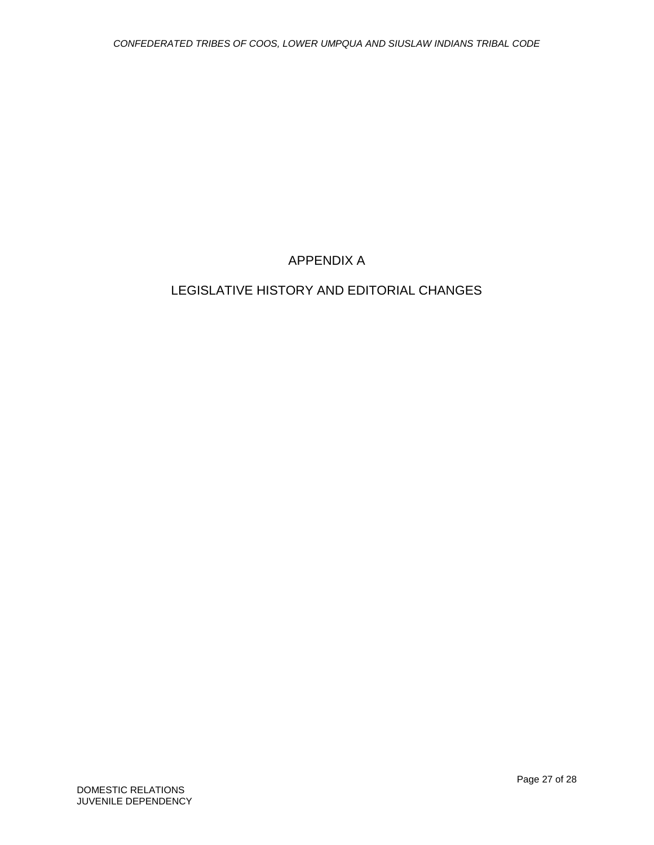# APPENDIX A

# LEGISLATIVE HISTORY AND EDITORIAL CHANGES